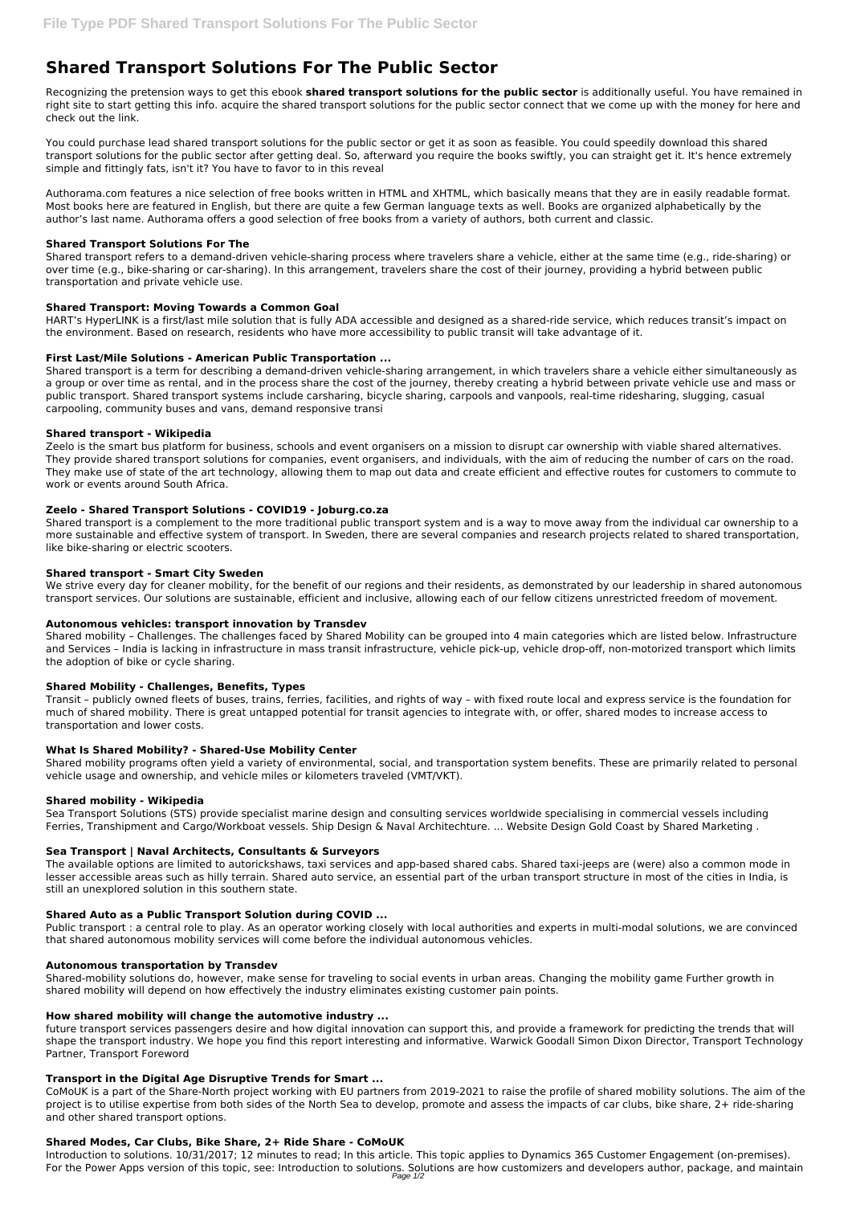# **Shared Transport Solutions For The Public Sector**

Recognizing the pretension ways to get this ebook **shared transport solutions for the public sector** is additionally useful. You have remained in right site to start getting this info. acquire the shared transport solutions for the public sector connect that we come up with the money for here and check out the link.

You could purchase lead shared transport solutions for the public sector or get it as soon as feasible. You could speedily download this shared transport solutions for the public sector after getting deal. So, afterward you require the books swiftly, you can straight get it. It's hence extremely simple and fittingly fats, isn't it? You have to favor to in this reveal

Authorama.com features a nice selection of free books written in HTML and XHTML, which basically means that they are in easily readable format. Most books here are featured in English, but there are quite a few German language texts as well. Books are organized alphabetically by the author's last name. Authorama offers a good selection of free books from a variety of authors, both current and classic.

# **Shared Transport Solutions For The**

Shared transport refers to a demand-driven vehicle-sharing process where travelers share a vehicle, either at the same time (e.g., ride-sharing) or over time (e.g., bike-sharing or car-sharing). In this arrangement, travelers share the cost of their journey, providing a hybrid between public transportation and private vehicle use.

# **Shared Transport: Moving Towards a Common Goal**

HART's HyperLINK is a first/last mile solution that is fully ADA accessible and designed as a shared-ride service, which reduces transit's impact on the environment. Based on research, residents who have more accessibility to public transit will take advantage of it.

We strive every day for cleaner mobility, for the benefit of our regions and their residents, as demonstrated by our leadership in shared autonomous transport services. Our solutions are sustainable, efficient and inclusive, allowing each of our fellow citizens unrestricted freedom of movement.

# **First Last/Mile Solutions - American Public Transportation ...**

Shared transport is a term for describing a demand-driven vehicle-sharing arrangement, in which travelers share a vehicle either simultaneously as a group or over time as rental, and in the process share the cost of the journey, thereby creating a hybrid between private vehicle use and mass or public transport. Shared transport systems include carsharing, bicycle sharing, carpools and vanpools, real-time ridesharing, slugging, casual carpooling, community buses and vans, demand responsive transi

## **Shared transport - Wikipedia**

Zeelo is the smart bus platform for business, schools and event organisers on a mission to disrupt car ownership with viable shared alternatives. They provide shared transport solutions for companies, event organisers, and individuals, with the aim of reducing the number of cars on the road. They make use of state of the art technology, allowing them to map out data and create efficient and effective routes for customers to commute to work or events around South Africa.

## **Zeelo - Shared Transport Solutions - COVID19 - Joburg.co.za**

Shared transport is a complement to the more traditional public transport system and is a way to move away from the individual car ownership to a more sustainable and effective system of transport. In Sweden, there are several companies and research projects related to shared transportation, like bike-sharing or electric scooters.

## **Shared transport - Smart City Sweden**

## **Autonomous vehicles: transport innovation by Transdev**

Shared mobility – Challenges. The challenges faced by Shared Mobility can be grouped into 4 main categories which are listed below. Infrastructure and Services – India is lacking in infrastructure in mass transit infrastructure, vehicle pick-up, vehicle drop-off, non-motorized transport which limits the adoption of bike or cycle sharing.

## **Shared Mobility - Challenges, Benefits, Types**

Transit – publicly owned fleets of buses, trains, ferries, facilities, and rights of way – with fixed route local and express service is the foundation for much of shared mobility. There is great untapped potential for transit agencies to integrate with, or offer, shared modes to increase access to transportation and lower costs.

## **What Is Shared Mobility? - Shared-Use Mobility Center**

Shared mobility programs often yield a variety of environmental, social, and transportation system benefits. These are primarily related to personal vehicle usage and ownership, and vehicle miles or kilometers traveled (VMT/VKT).

## **Shared mobility - Wikipedia**

Sea Transport Solutions (STS) provide specialist marine design and consulting services worldwide specialising in commercial vessels including Ferries, Transhipment and Cargo/Workboat vessels. Ship Design & Naval Architechture. ... Website Design Gold Coast by Shared Marketing .

## **Sea Transport | Naval Architects, Consultants & Surveyors**

The available options are limited to autorickshaws, taxi services and app-based shared cabs. Shared taxi-jeeps are (were) also a common mode in lesser accessible areas such as hilly terrain. Shared auto service, an essential part of the urban transport structure in most of the cities in India, is still an unexplored solution in this southern state.

## **Shared Auto as a Public Transport Solution during COVID ...**

Public transport : a central role to play. As an operator working closely with local authorities and experts in multi-modal solutions, we are convinced that shared autonomous mobility services will come before the individual autonomous vehicles.

#### **Autonomous transportation by Transdev**

Shared-mobility solutions do, however, make sense for traveling to social events in urban areas. Changing the mobility game Further growth in shared mobility will depend on how effectively the industry eliminates existing customer pain points.

#### **How shared mobility will change the automotive industry ...**

future transport services passengers desire and how digital innovation can support this, and provide a framework for predicting the trends that will shape the transport industry. We hope you find this report interesting and informative. Warwick Goodall Simon Dixon Director, Transport Technology Partner, Transport Foreword

#### **Transport in the Digital Age Disruptive Trends for Smart ...**

CoMoUK is a part of the Share-North project working with EU partners from 2019-2021 to raise the profile of shared mobility solutions. The aim of the project is to utilise expertise from both sides of the North Sea to develop, promote and assess the impacts of car clubs, bike share, 2+ ride-sharing and other shared transport options.

#### **Shared Modes, Car Clubs, Bike Share, 2+ Ride Share - CoMoUK**

Introduction to solutions. 10/31/2017; 12 minutes to read; In this article. This topic applies to Dynamics 365 Customer Engagement (on-premises). For the Power Apps version of this topic, see: Introduction to solutions. Solutions are how customizers and developers author, package, and maintain Page 1/2